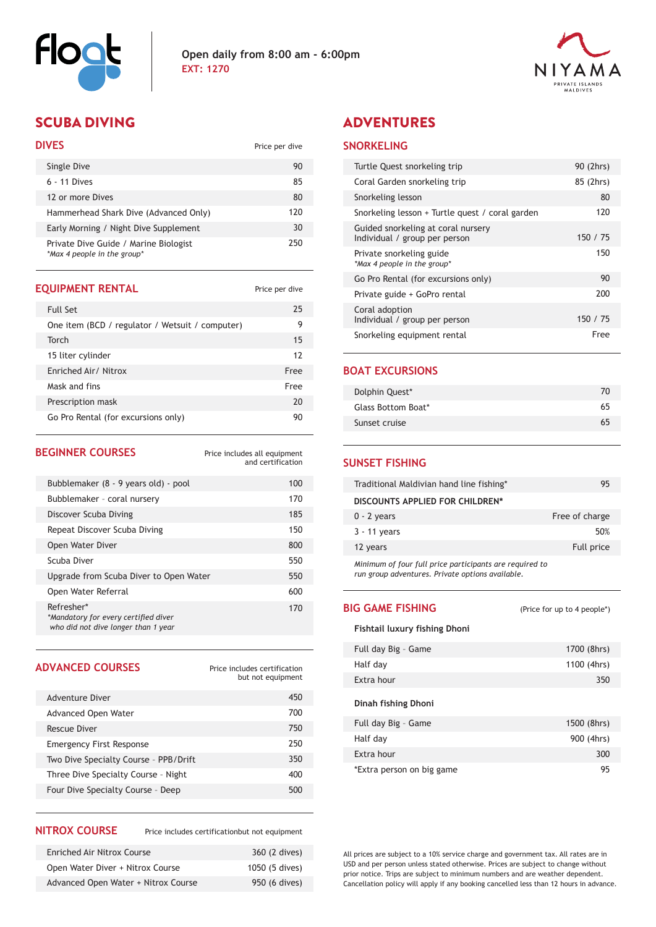



## SCUBA DIVING ADVENTURES

### **DIVES** Price per dive

| Single Dive                                                          | 90  |
|----------------------------------------------------------------------|-----|
| $6 - 11$ Dives                                                       | 85  |
| 12 or more Dives                                                     | 80  |
| Hammerhead Shark Dive (Advanced Only)                                | 120 |
| Early Morning / Night Dive Supplement                                | 30  |
| Private Dive Guide / Marine Biologist<br>*Max 4 people in the group* | 250 |

#### **EQUIPMENT RENTAL** Price per dive

| <b>Full Set</b>                                 | 25   |
|-------------------------------------------------|------|
| One item (BCD / regulator / Wetsuit / computer) | 9    |
| Torch                                           | 15   |
| 15 liter cylinder                               | 12   |
| Enriched Air/ Nitrox                            | Free |
| Mask and fins                                   | Free |
| Prescription mask                               | 20   |
| Go Pro Rental (for excursions only)             | 90   |

| <b>BEGINNER COURSES</b>                                                                   | Price includes all equipment<br>and certification |
|-------------------------------------------------------------------------------------------|---------------------------------------------------|
| Bubblemaker (8 - 9 years old) - pool                                                      | 100                                               |
| Bubblemaker - coral nursery                                                               | 170                                               |
| Discover Scuba Diving                                                                     | 185                                               |
| Repeat Discover Scuba Diving                                                              | 150                                               |
| Open Water Diver                                                                          | 800                                               |
| Scuba Diver                                                                               | 550                                               |
| Upgrade from Scuba Diver to Open Water                                                    | 550                                               |
| Open Water Referral                                                                       | 600                                               |
| Refresher*<br>*Mandatory for every certified diver<br>who did not dive longer than 1 year | 170                                               |

#### **ADVANCED COURSES**

Price includes certification but not equipment

| Adventure Diver                       | 450 |
|---------------------------------------|-----|
| Advanced Open Water                   | 700 |
| Rescue Diver                          | 750 |
| <b>Emergency First Response</b>       | 250 |
| Two Dive Specialty Course - PPB/Drift | 350 |
| Three Dive Specialty Course - Night   | 400 |
| Four Dive Specialty Course - Deep     | 500 |
|                                       |     |

#### **NITROX COURSE**

Price includes certificationbut not equipment

| <b>Enriched Air Nitrox Course</b>   | 360 (2 dives)  |
|-------------------------------------|----------------|
| Open Water Diver + Nitrox Course    | 1050 (5 dives) |
| Advanced Open Water + Nitrox Course | 950 (6 dives)  |

#### **SNORKELING**

| Turtle Quest snorkeling trip                                        | 90 (2hrs) |
|---------------------------------------------------------------------|-----------|
| Coral Garden snorkeling trip                                        | 85 (2hrs) |
| Snorkeling lesson                                                   | 80        |
| Snorkeling lesson + Turtle quest / coral garden                     | 120       |
| Guided snorkeling at coral nursery<br>Individual / group per person | 150 / 75  |
| Private snorkeling guide<br>*Max 4 people in the group*             | 150       |
| Go Pro Rental (for excursions only)                                 | 90        |
| Private guide + GoPro rental                                        | 200       |
| Coral adoption<br>Individual / group per person                     | 150 / 75  |
| Snorkeling equipment rental                                         | Free      |

#### **BOAT EXCURSIONS**

L

| Dolphin Quest*     | 70 |
|--------------------|----|
| Glass Bottom Boat* | 65 |
| Sunset cruise      | 65 |

#### **SUNSET FISHING**

| Traditional Maldivian hand line fishing*                | 95             |
|---------------------------------------------------------|----------------|
| DISCOUNTS APPLIED FOR CHILDREN*                         |                |
| $0 - 2$ years                                           | Free of charge |
| 3 - 11 years                                            | 50%            |
| 12 years                                                | Full price     |
| Minimum of four full price participants are required to |                |

*Minimum of four full price participants are required to run group adventures. Private options available.* 

#### **BIG GAME FISHING**

Extra hour

(Price for up to 4 people\*)

300 95

#### **Fishtail luxury fishing Dhoni**

\*Extra person on big game

| Full day Big - Game | 1700 (8hrs) |
|---------------------|-------------|
| Half day            | 1100 (4hrs) |
| Extra hour          | 350         |
| Dinah fishing Dhoni |             |
| Full day Big - Game | 1500 (8hrs) |
| Half day            | 900 (4hrs)  |

All prices are subject to a 10% service charge and government tax. All rates are in USD and per person unless stated otherwise. Prices are subject to change without prior notice. Trips are subject to minimum numbers and are weather dependent. Cancellation policy will apply if any booking cancelled less than 12 hours in advance.